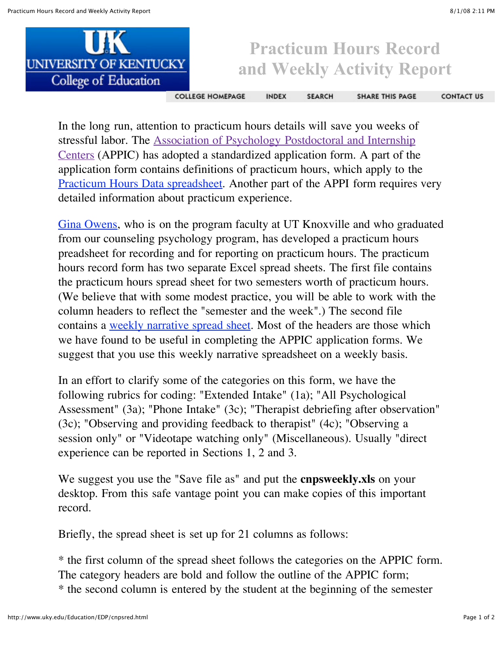

## **Practicum Hours Record and Weekly Activity Report**

**COLLEGE HOMEPAGE** 

**INDEX SEARCH**  **SHARE THIS PAGE** 

**CONTACT US** 

In the long run, attention to practicum hours details will save you weeks of stressful labor. The Association of Psychology [Postdoctoral and](http://www.appic.org/) Internship Centers (APPIC) has adopted a standardized application form. A part of the application form contains definitions of practicum hours, which apply to the Practicum Hours Data [spreadsheet.](http://www.uky.edu/Education/EDP/practhrs.xls) Another part of the APPI form requires very detailed information about practicum experience.

[Gina Owens,](mailto:gowens4@utk.edu) who is on the program faculty at UT Knoxville and who graduated from our counseling psychology program, has developed a practicum hours preadsheet for recording and for reporting on practicum hours. The practicum hours record form has two separate Excel spread sheets. The first file contains the practicum hours spread sheet for two semesters worth of practicum hours. (We believe that with some modest practice, you will be able to work with the column headers to reflect the "semester and the week".) The second file contains a weekly [narrative](http://www.uky.edu/Education/EDP/cnpsweekly.xls) spread sheet. Most of the headers are those which we have found to be useful in completing the APPIC application forms. We suggest that you use this weekly narrative spreadsheet on a weekly basis.

In an effort to clarify some of the categories on this form, we have the following rubrics for coding: "Extended Intake" (1a); "All Psychological Assessment" (3a); "Phone Intake" (3c); "Therapist debriefing after observation" (3c); "Observing and providing feedback to therapist" (4c); "Observing a session only" or "Videotape watching only" (Miscellaneous). Usually "direct experience can be reported in Sections 1, 2 and 3.

We suggest you use the "Save file as" and put the **cnpsweekly.xls** on your desktop. From this safe vantage point you can make copies of this important record.

Briefly, the spread sheet is set up for 21 columns as follows:

\* the first column of the spread sheet follows the categories on the APPIC form. The category headers are bold and follow the outline of the APPIC form; \* the second column is entered by the student at the beginning of the semester